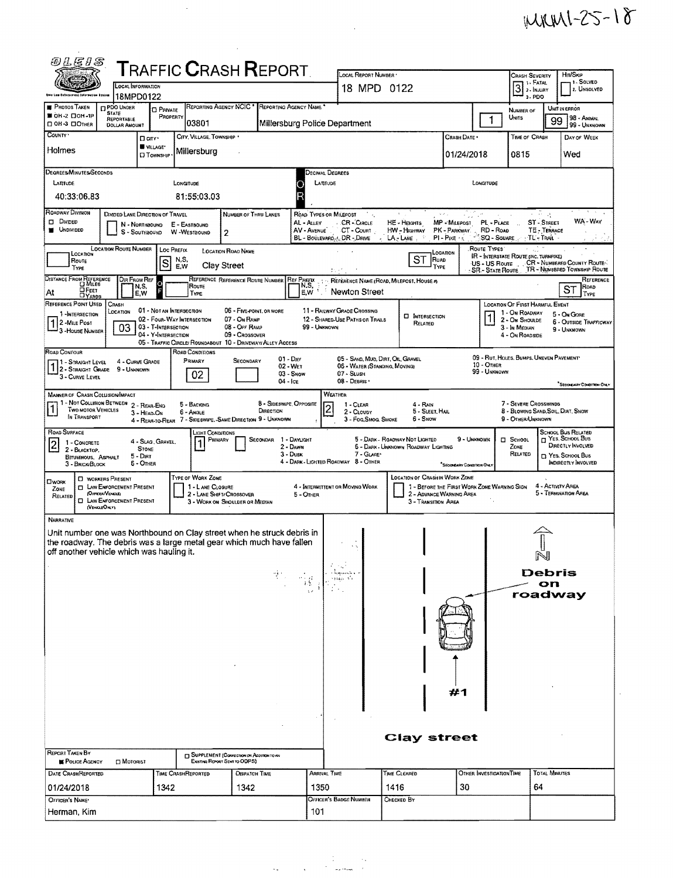## $MMM1-25-18$

| 砂仏伝りあ                                                                                                                                                                                                                                                                       |                                                                                                       |                                                                                                                                                                               |                                                                                                 |                                                                                                                                                  |                                                                               |                                                                                                                        |
|-----------------------------------------------------------------------------------------------------------------------------------------------------------------------------------------------------------------------------------------------------------------------------|-------------------------------------------------------------------------------------------------------|-------------------------------------------------------------------------------------------------------------------------------------------------------------------------------|-------------------------------------------------------------------------------------------------|--------------------------------------------------------------------------------------------------------------------------------------------------|-------------------------------------------------------------------------------|------------------------------------------------------------------------------------------------------------------------|
| LOCAL INFORMATION                                                                                                                                                                                                                                                           | <b>TRAFFIC CRASH REPORT</b>                                                                           |                                                                                                                                                                               | LOCAL REPORT NUMBER                                                                             |                                                                                                                                                  |                                                                               | Hm/Skip<br><b>CRASH SEVERITY</b><br>- 1 - Solved                                                                       |
| 18MPD0122                                                                                                                                                                                                                                                                   |                                                                                                       |                                                                                                                                                                               | 18 MPD 0122                                                                                     |                                                                                                                                                  |                                                                               | $3$ : FATAL $\overline{3}$ : INJURY<br>2. UNSOLVED<br>3-PDO                                                            |
| <b>PHOTOS TAKEN</b><br><b>D</b> PDO UNDER<br><b>STATE</b><br>■ ОН-2 □ ОН-1Р<br>REPORTABLE                                                                                                                                                                                   | REPORTING AGENCY NCIC<br><b>D</b> PRIVATE<br>PROPERTY                                                 | REPORTING AGENCY NAME                                                                                                                                                         |                                                                                                 |                                                                                                                                                  | NUMBER OF<br>UNITS<br>$\mathbf{1}$                                            | UNIT IN ERROR<br>98 - ANIMAL<br>99                                                                                     |
| ПОН-3 ПОТНЕВ<br><b>DOLLAR AMOUNT</b><br>COUNTY '<br>D city .                                                                                                                                                                                                                | 03801<br>CITY, VILLAGE, TOWNSHIP                                                                      | Millersburg Police Department                                                                                                                                                 |                                                                                                 | CRASH DATE *                                                                                                                                     |                                                                               | 99 - UNKNOWN<br>TIME OF CRASH<br>DAY OF WEEK                                                                           |
| VILLAGE*<br>Holmes<br><b>D</b> TOWNSHIP                                                                                                                                                                                                                                     | Millersburg                                                                                           |                                                                                                                                                                               |                                                                                                 | 01/24/2018                                                                                                                                       | 0815                                                                          | Wed                                                                                                                    |
| <b>DEGREES MINUTES/SECONDS</b><br>LATITUDE<br>40:33:06.83                                                                                                                                                                                                                   | LONGITUDE<br>81:55:03.03                                                                              | Decimal Degrees<br>LATITUDE                                                                                                                                                   |                                                                                                 |                                                                                                                                                  | LONGITUDE                                                                     |                                                                                                                        |
| Roadway Division<br>DIVIDED LANE DIRECTION OF TRAVEL<br><b>DI DIVIDED</b><br>N - NORTHBOUND<br><b>UNDIVIDED</b><br>S - SouthBOUND                                                                                                                                           | NUMBER OF THRU LANES<br>E - EASTBOUND<br>W -WESTBOUND<br>2                                            | ROAD TYPES OR MILEPOST<br>AL - ALLEY<br>AV - Avenue<br>BL - BOULEVARD G. DR - DRIVE                                                                                           | ti vij<br>CR-CRCLE<br>CT - COURT                                                                | $\gamma_0 \neq \gamma_0$<br>MP - MILEPOST PL - PLACE<br>HE - Hearrs<br>HW - HIGHWAY<br>PK - PARKWAY. RD - ROAD<br>$PI - P$ IKE $15$<br>LA - LANE | SQ - SQUARE                                                                   | 2014<br>大地坡<br>WA'- Way<br>ST - STREET<br>TE - TERRACE<br>-TL'-Trail                                                   |
| <b>LOCATION ROUTE NUMBER</b><br>LOCATION<br>Route<br>TYPE                                                                                                                                                                                                                   | LOC PREFIX<br><b>LOCATION ROAD NAME</b><br>N,S,<br>$\vert$ S<br><b>Clay Street</b><br>E.W             |                                                                                                                                                                               |                                                                                                 | LOCATION<br>SТ<br>ROAD<br>TYPE                                                                                                                   | Route Types"<br><b>IR - INTERSTATE ROUTE (INC. TURNPIKE)</b><br>US - US Route | ika l<br>CR - NUMBERED COUNTY ROUTE<br>SR - STATE ROUTE TR - NUMBERED TOWNSHIP ROUTE                                   |
| DISTANCE FROM REFERENCE<br>DIR FROM REF<br>$\frac{0}{5}$<br>N,S,<br>$D$ FEET<br>At<br>E,W<br><b>DYARDS</b>                                                                                                                                                                  | REFERENCE REFERENCE ROUTE NUMBER REF PAETIX<br>Route<br>TYPE                                          | N.S.<br>E.W                                                                                                                                                                   | REFERENCE NAME (ROAD, MILEPOST, HOUSE #)<br>Newton Street                                       |                                                                                                                                                  |                                                                               | REFERENCE<br>ROAD<br>ST<br>TYPE                                                                                        |
| REFERENCE POINT USED<br>CRASH<br>01 - NOT AN INTERSECTION<br>LOCATION<br>1 - INTERSECTION<br>02 - Four-Way Intersection<br>2 - MILE Post<br>03<br>03 - T-INTERSECTION<br>House NUMBER<br>04 - Y-INTERSECTION<br>05 - TRAFFIC CIRCLE/ ROUNDABOUT 10 - DRIVEWAY/ ALLEY ACCESS | $\mathbf 1$                                                                                           | <b>LOCATION OF FIRST HARMFUL EVENT</b><br>1 - On Roadway<br>5 - On Gone<br>2 - On Shoulde<br><b>6 - OUTSIDE TRAFFICWAY</b><br>3 - In Median<br>9 - UNKNOWN<br>4 - On ROADSIDE |                                                                                                 |                                                                                                                                                  |                                                                               |                                                                                                                        |
| ROAD CONTOUR<br>4 - CURVE GRADE<br>  1 - Straight Level<br>12-STRAIGHT GRADE 9 - UNKNOWN<br>3 - CURVE LEVEL                                                                                                                                                                 | ROAD CONDITIONS<br>PRIMARY<br>SECONDARY<br>02                                                         | $01 - DRY$<br>02 - WET<br>03 - Snow<br>$04 - 1$ ce                                                                                                                            | 05 - SAND, MUD, DIRT, OIL, GRAVEL<br>06 - WATER (STANDING, MOVING)<br>07 - SLUSH<br>08 - DEBRIS |                                                                                                                                                  | 09 - RUT, HOLES, BUMPS, UNEVEN PAVEMENT<br>10 - OTHER<br>99 - UNKNOWN         | SECONDARY CONDITION ONLY                                                                                               |
| <b>MANNER OF CRASH COLLISION/IMPACT</b><br>1 - Not Collision Between 2 - Rear-End<br>Two motor Vehicles<br>3 - HEAD-ON<br>IN TRANSPORT                                                                                                                                      | 5 - Backing<br>6 - Angle<br>4 - REAR-TO-REAR 7 - SIDESWIPE.-SAME DIRECTION 9 - UNKNOWN                | <b>WEATHER</b><br>8 - Sideswipe, Opposite<br>$\overline{\mathbf{c}}$<br>DIRECTION                                                                                             | 1 - CLEAR<br>2 - CLOUDY<br>3 - Fog, SMOG, SMOKE                                                 | 4 - RAIN<br>5 - Sleet, Hail<br>6 - Snow                                                                                                          | 9 - OTHER/UNKNOWN                                                             | 7 - SEVERE CROSSWINDS<br>8 - BLOWING SAND, SOIL, DIRT, SNOW                                                            |
| ROAD SURFACE<br>4 - Slag, Gravel,<br>$\overline{c}$<br>1 - CONCRETE<br>STONE<br>2 - BLACKTOP,<br>$5 -$ Dirt<br>BITUMINOUS, ASPHALT<br>6 - Other<br>3 - BRICK/BLOCK                                                                                                          | Light Conditions<br><b>FRIMARY</b>                                                                    | SECONDAR 1 - DAYLIGHT<br>2 - DAWN<br>$3 - D$ usk<br>4 - DARK - LIGHTED ROADWAY 8 - OTHER                                                                                      | 5 - DARK - ROADWAY NOT LIGHTED<br>7 - GLARE                                                     | 9 - UNKNOWN<br>5 - DARK - UNKNOWN ROADWAY LIGHTING<br>SECONDARY CONDITION ONLY                                                                   | <b>D</b> SCHOOL<br>ZONE<br>RELATED                                            | <b>SCHOOL BUS RELATED</b><br>C YES, SCHOOL BUS<br>DIRECTLY INVOLVED<br>T YES, SCHOOL BUS<br><b>INDIRECTLY INVOLVED</b> |
| <b>CI WORKERS PRESENT</b><br><b>CIWORK</b><br><b>C LAW ENFORCEMENT PRESENT</b><br>ZONE<br>(OFFICEN/DUCLE)<br>RELATED<br><b>CI LAW ENFORCEMENT PRESENT</b><br>(VENCLEONLY)                                                                                                   | TYPE OF WORK ZONE<br>1 - L ANE CLOSURE<br>2 - LANE SHIFT/ CROSSOVER<br>3 - WORK ON SHOULDER OR MEDIAN | 4 - INTERMITTENT OR MOVING WORK<br>$5 -$ Other                                                                                                                                |                                                                                                 | <b>LOCATION OF CRASH IN WORK ZONE</b><br>1 - BEFORE THE FIRST WORK ZONE WARNING SIGN<br>2 - ADVANCE WARNING AREA<br>3 - TRANSITION AREA          |                                                                               | 4 - Activity AREA<br>5 - TERMINATION AREA                                                                              |
| <b>NARRATIVE</b><br>Unit number one was Northbound on Clay street when he struck debris in<br>the roadway. The debris was a large metal gear which much have fallen<br>off another vehicle which was hauling it.                                                            |                                                                                                       |                                                                                                                                                                               |                                                                                                 |                                                                                                                                                  |                                                                               | N                                                                                                                      |
|                                                                                                                                                                                                                                                                             |                                                                                                       | <sup>第23</sup> 雪。                                                                                                                                                             | vaapp.                                                                                          |                                                                                                                                                  |                                                                               | Debris<br>on<br>roadway                                                                                                |
|                                                                                                                                                                                                                                                                             |                                                                                                       |                                                                                                                                                                               |                                                                                                 |                                                                                                                                                  |                                                                               |                                                                                                                        |
|                                                                                                                                                                                                                                                                             |                                                                                                       |                                                                                                                                                                               |                                                                                                 | #1                                                                                                                                               |                                                                               |                                                                                                                        |
| <b>REPORT TAKEN BY</b>                                                                                                                                                                                                                                                      | SUPPLEMENT (CORRECTION OF ADDITION TO AN                                                              |                                                                                                                                                                               |                                                                                                 | <b>Clay street</b>                                                                                                                               |                                                                               |                                                                                                                        |
| <b>POLICE AGENCY</b><br><b>D</b> MOTORIST<br>DATE CRASHREPORTED                                                                                                                                                                                                             | Existing Report Sevit to ODPS)<br>TIME CRASHREPORTED                                                  | ARRIVAL TIME                                                                                                                                                                  |                                                                                                 | TIME CLEARED                                                                                                                                     | OTHER INVESTIGATION TIME                                                      | <b>TOTAL MINUTES</b>                                                                                                   |
| 01/24/2018                                                                                                                                                                                                                                                                  | <b>DISPATCH TIME</b><br>1342<br>1342                                                                  | 1350                                                                                                                                                                          | 1416                                                                                            | 30                                                                                                                                               |                                                                               | 64                                                                                                                     |
| OFFICER'S NAME*<br>Herman, Kim                                                                                                                                                                                                                                              |                                                                                                       |                                                                                                                                                                               | Officer's Badge Number                                                                          | Снескер Ву                                                                                                                                       |                                                                               |                                                                                                                        |

 $\label{eq:2.1} \mathcal{L}(\mathcal{L}) = \mathcal{L}(\mathcal{L}) \mathcal{L}(\mathcal{L}) = \mathcal{L}(\mathcal{L}) \mathcal{L}(\mathcal{L})$ 

 $\mathcal{L}(\mathcal{A})$  .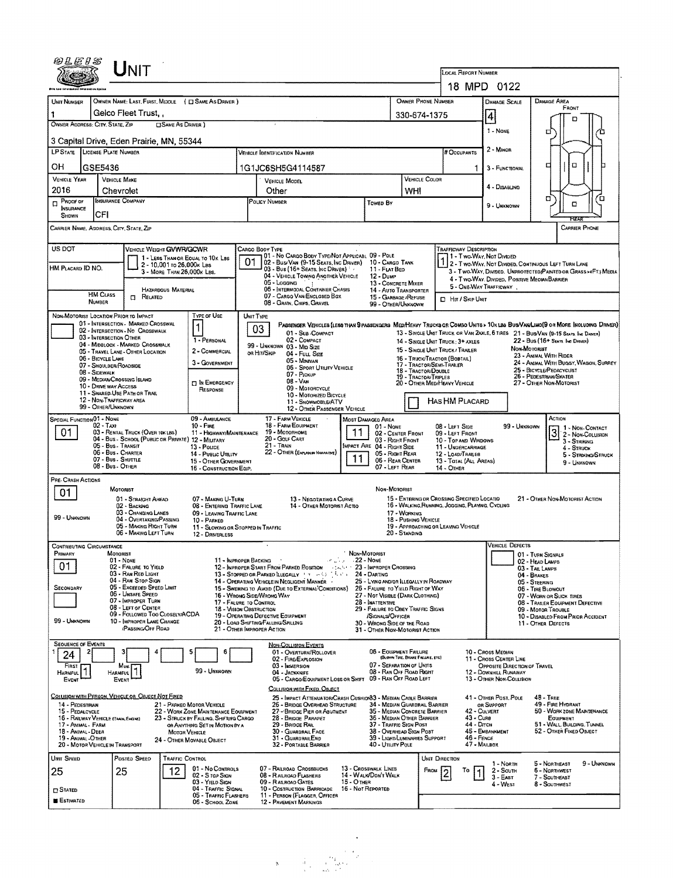|                                                                                                                                                                                                                                                                                                            |                                                                                                                                                                                                                                                                                                                                                             | UNIT                                                                    |                                                         |                                                                          |                                                                                                                                                                                               |                                                                                                                     |                                                                                                                                  |                                                                            |                                  |                                                                          |                                                                                                                                            |                                                         |                                                    |                                                                                                                              |  |  |  |
|------------------------------------------------------------------------------------------------------------------------------------------------------------------------------------------------------------------------------------------------------------------------------------------------------------|-------------------------------------------------------------------------------------------------------------------------------------------------------------------------------------------------------------------------------------------------------------------------------------------------------------------------------------------------------------|-------------------------------------------------------------------------|---------------------------------------------------------|--------------------------------------------------------------------------|-----------------------------------------------------------------------------------------------------------------------------------------------------------------------------------------------|---------------------------------------------------------------------------------------------------------------------|----------------------------------------------------------------------------------------------------------------------------------|----------------------------------------------------------------------------|----------------------------------|--------------------------------------------------------------------------|--------------------------------------------------------------------------------------------------------------------------------------------|---------------------------------------------------------|----------------------------------------------------|------------------------------------------------------------------------------------------------------------------------------|--|--|--|
|                                                                                                                                                                                                                                                                                                            |                                                                                                                                                                                                                                                                                                                                                             |                                                                         |                                                         |                                                                          |                                                                                                                                                                                               |                                                                                                                     |                                                                                                                                  |                                                                            |                                  |                                                                          | LOCAL REPORT NUMBER                                                                                                                        |                                                         |                                                    |                                                                                                                              |  |  |  |
|                                                                                                                                                                                                                                                                                                            |                                                                                                                                                                                                                                                                                                                                                             |                                                                         |                                                         |                                                                          |                                                                                                                                                                                               |                                                                                                                     |                                                                                                                                  |                                                                            |                                  |                                                                          | 18 MPD 0122<br>OWNER PHONE NUMBER<br><b>DAMAGE AREA</b>                                                                                    |                                                         |                                                    |                                                                                                                              |  |  |  |
| UNIT NUMBER<br>1                                                                                                                                                                                                                                                                                           | OWNER NAME: LAST, FIRST, MIDDLE ( C SAME AS DRIVER )<br>Gelco Fleet Trust,                                                                                                                                                                                                                                                                                  |                                                                         |                                                         |                                                                          |                                                                                                                                                                                               |                                                                                                                     |                                                                                                                                  |                                                                            |                                  |                                                                          |                                                                                                                                            | <b>DAMAGE SCALE</b>                                     |                                                    | FRONT                                                                                                                        |  |  |  |
| 330-674-1375<br>OWNER ADDRESS: CITY, STATE, ZIP<br><b>CISAME AS DRIVER</b> )                                                                                                                                                                                                                               |                                                                                                                                                                                                                                                                                                                                                             |                                                                         |                                                         |                                                                          |                                                                                                                                                                                               |                                                                                                                     |                                                                                                                                  |                                                                            |                                  |                                                                          |                                                                                                                                            | 4                                                       |                                                    |                                                                                                                              |  |  |  |
|                                                                                                                                                                                                                                                                                                            | 1 - None<br>а<br>3 Capital Drive, Eden Prairie, MN, 55344                                                                                                                                                                                                                                                                                                   |                                                                         |                                                         |                                                                          |                                                                                                                                                                                               |                                                                                                                     |                                                                                                                                  |                                                                            |                                  |                                                                          |                                                                                                                                            |                                                         |                                                    |                                                                                                                              |  |  |  |
| LP STATE LICENSE PLATE NUMBER<br># Occupants<br><b>VEHICLE IDENTIFICATION NUMBER</b>                                                                                                                                                                                                                       |                                                                                                                                                                                                                                                                                                                                                             |                                                                         |                                                         |                                                                          |                                                                                                                                                                                               |                                                                                                                     |                                                                                                                                  |                                                                            |                                  |                                                                          |                                                                                                                                            | 2 - MINOR                                               |                                                    |                                                                                                                              |  |  |  |
| OН                                                                                                                                                                                                                                                                                                         | GSE5436                                                                                                                                                                                                                                                                                                                                                     |                                                                         |                                                         |                                                                          |                                                                                                                                                                                               | 1G1JC6SH5G4114587                                                                                                   |                                                                                                                                  |                                                                            | 1                                | 3 - Functional                                                           | $\Box$<br>□                                                                                                                                |                                                         |                                                    |                                                                                                                              |  |  |  |
| <b>VEHICLE YEAR</b><br>2016                                                                                                                                                                                                                                                                                |                                                                                                                                                                                                                                                                                                                                                             | <b>VEHICLE MAKE</b>                                                     |                                                         |                                                                          |                                                                                                                                                                                               | <b>VEHICLE MODEL</b>                                                                                                |                                                                                                                                  |                                                                            | VEHICLE COLOR                    |                                                                          | 4 - DISABLING                                                                                                                              |                                                         |                                                    |                                                                                                                              |  |  |  |
| PROOF OF                                                                                                                                                                                                                                                                                                   |                                                                                                                                                                                                                                                                                                                                                             | Chevrolet<br>INSURANCE COMPANY                                          |                                                         |                                                                          |                                                                                                                                                                                               | Other<br>POLICY NUMBER                                                                                              |                                                                                                                                  | Toweo By                                                                   | WHI                              |                                                                          |                                                                                                                                            |                                                         |                                                    | α<br>α<br>о                                                                                                                  |  |  |  |
| <b>INSURANCE</b><br>SHOWN                                                                                                                                                                                                                                                                                  | CFI                                                                                                                                                                                                                                                                                                                                                         |                                                                         |                                                         |                                                                          |                                                                                                                                                                                               |                                                                                                                     |                                                                                                                                  |                                                                            |                                  |                                                                          |                                                                                                                                            | 9 - Unknown                                             |                                                    |                                                                                                                              |  |  |  |
|                                                                                                                                                                                                                                                                                                            | CARRIER NAME, ADDRESS, CITY, STATE, ZIP<br><b>CARRIER PHONE</b>                                                                                                                                                                                                                                                                                             |                                                                         |                                                         |                                                                          |                                                                                                                                                                                               |                                                                                                                     |                                                                                                                                  |                                                                            |                                  |                                                                          |                                                                                                                                            |                                                         |                                                    |                                                                                                                              |  |  |  |
| US DOT<br>VEHICLE WEIGHT GWWR/GCWR<br><b>TRAFFICWAY DESCRIPTION</b><br>CARGO BOOY TYPE<br>01 - No CARGO BODY TYPE/NOT APPLICABL 09 - POLE<br>1 - Two Way, Not Divideo<br>1 - LESS THAN OR EQUAL TO 10K LBS                                                                                                 |                                                                                                                                                                                                                                                                                                                                                             |                                                                         |                                                         |                                                                          |                                                                                                                                                                                               |                                                                                                                     |                                                                                                                                  |                                                                            |                                  |                                                                          |                                                                                                                                            |                                                         |                                                    |                                                                                                                              |  |  |  |
| HM PLACARD ID NO.                                                                                                                                                                                                                                                                                          |                                                                                                                                                                                                                                                                                                                                                             |                                                                         | 2 - 10,001 to 26,000x Les<br>3 - MORE THAN 26,000K LBS. |                                                                          | 01<br>02 - Busi Van (9-15 Seats, Inc Driver) 10 - Cargo Tank<br>03 - Bus (16+ Seats, Inc Driver)<br>11 - FLAT BED                                                                             |                                                                                                                     |                                                                                                                                  |                                                                            |                                  |                                                                          |                                                                                                                                            | 2 - Two Way, Not Divided, Continuous Left Turn Lane     |                                                    |                                                                                                                              |  |  |  |
|                                                                                                                                                                                                                                                                                                            |                                                                                                                                                                                                                                                                                                                                                             |                                                                         |                                                         |                                                                          |                                                                                                                                                                                               | 04 - VEHICLE TOWING ANOTHER VEHICLE<br>05 - Logging                                                                 |                                                                                                                                  | 12 - Dump<br>13 - CONCRETE MIXER                                           |                                  |                                                                          | 3 - Two-Way, Divideo. UNPROTECTED(PAINTED OR GRASS >4FT.) MEDIA<br>4 - Two-Way, Divided, Positive Median Barrier<br>5 - ONE-WAY TRAFFICWAY |                                                         |                                                    |                                                                                                                              |  |  |  |
|                                                                                                                                                                                                                                                                                                            | <b>HM CLASS</b><br><b>NUMBER</b>                                                                                                                                                                                                                                                                                                                            | <b>ELATED</b>                                                           | <b>HAZARDOUS MATERIAL</b>                               |                                                                          | 05 - LOGGING<br>06 - Intermodal Container Chasis<br><b>14 - AUTO TRANSPORTER</b><br>07 - CARGO VAN/ENCLOSED BOX<br>15 - GARBAGE / REFUSE                                                      |                                                                                                                     |                                                                                                                                  |                                                                            |                                  |                                                                          | <b>D</b> HIT / SKIP UNIT                                                                                                                   |                                                         |                                                    |                                                                                                                              |  |  |  |
|                                                                                                                                                                                                                                                                                                            |                                                                                                                                                                                                                                                                                                                                                             | NON-MOTORIST LOCATION PRIOR TO IMPACT                                   |                                                         | TYPE OF USE                                                              | UNIT TYPE                                                                                                                                                                                     | 08 - GRAIN, CHIPS, GRAVEL                                                                                           |                                                                                                                                  | 99 - OTHER/UNKNOWN                                                         |                                  |                                                                          |                                                                                                                                            |                                                         |                                                    |                                                                                                                              |  |  |  |
|                                                                                                                                                                                                                                                                                                            |                                                                                                                                                                                                                                                                                                                                                             | 01 - INTERSECTION - MARKED CROSSWAL<br>02 - INTERSECTION - NO CROSSWALK |                                                         | $\mathbf{1}$                                                             |                                                                                                                                                                                               | 03                                                                                                                  |                                                                                                                                  |                                                                            |                                  |                                                                          |                                                                                                                                            |                                                         |                                                    | PASSENGER VEHICLES (LESS THAN SPASSENGERS MEDIMEAVY TRUCKS OR COMBO UNITS > 10K LBS BUS/VAN/LIMO(9 OR MORE INCLUDING DRIVER) |  |  |  |
| 01 - Sub-COMPACT<br>13 - SINGLE UNIT TRUCK OR VAN 2AXLE, 6 TIRES 21 - BUS/VAN (9-15 SEATS. Inc DANSR)<br>03 - INTERSECTION OTHER<br>02 - COMPACT<br>1 - PERSONAL<br>22 - Bus (16+ Seats, Ind Driver)<br>14 - SINGLE UNIT TRUCK: 3+ AXLES<br>04 - MIDBLOCK - MARKED CROSSWALK<br>99 - Unknown 03 - Mid Size |                                                                                                                                                                                                                                                                                                                                                             |                                                                         |                                                         |                                                                          |                                                                                                                                                                                               |                                                                                                                     |                                                                                                                                  |                                                                            |                                  |                                                                          |                                                                                                                                            |                                                         |                                                    |                                                                                                                              |  |  |  |
|                                                                                                                                                                                                                                                                                                            | 06 - BICYCLE LANE                                                                                                                                                                                                                                                                                                                                           | 05 - TRAVEL LANE - OTHER LOCATION                                       |                                                         | 2 - COMMERCIAL<br>3 - GOVERNMENT                                         |                                                                                                                                                                                               | OR HIT/SKIP<br>04 - FULL SIZE<br>05 - MINIVAN                                                                       |                                                                                                                                  |                                                                            |                                  |                                                                          | 15 - SINGLE UNIT TRUCK / TRAILER<br>16 - TRUCK/TRACTOR (BOBTAIL)                                                                           |                                                         | NON-MOTORIST                                       | 23 - ANIMAL WITH RIDER<br>24 - Animal With Buggy, Wagon, Surney                                                              |  |  |  |
|                                                                                                                                                                                                                                                                                                            | 08 - Sidewalk                                                                                                                                                                                                                                                                                                                                               | 07 - Shoulder/Roadside                                                  |                                                         |                                                                          |                                                                                                                                                                                               | 06 - Sport UTILITY VEHICLE<br>07 - Pickup                                                                           |                                                                                                                                  |                                                                            |                                  | 17 - TRACTOR/SEMI-TRAILER<br>18 - TRACTOR/DOUBLE<br>19 - TRACTOR/TRIPLES |                                                                                                                                            |                                                         | 25 - BICYCLE/PEDACYCLIST<br>26 - Pedestrian/Skater |                                                                                                                              |  |  |  |
|                                                                                                                                                                                                                                                                                                            | 10 - DRIVE WAY ACCESS                                                                                                                                                                                                                                                                                                                                       | 09 - MEDIAN CROSSING ISLAND                                             |                                                         | <b>DIN EMERGENCY</b><br>RESPONSE                                         | 08 - Van<br>09 - MOTORCYCLE                                                                                                                                                                   |                                                                                                                     |                                                                                                                                  |                                                                            |                                  |                                                                          | 20 - Other MediHeavy Vehicle                                                                                                               |                                                         | 27 - OTHER NON-MOTORIST                            |                                                                                                                              |  |  |  |
| 11 - SHARED-USE PATH OR TRAIL<br>10 - MOTORIZED BICYCLE<br>12 - NON-TRAFFICWAY AREA<br>HAS HM PLACARD<br>11 - SNOWMOBILE/ATV<br>99 - OTHER/UNKNOWN<br>12 - OTHER PASSENGER VEHICLE                                                                                                                         |                                                                                                                                                                                                                                                                                                                                                             |                                                                         |                                                         |                                                                          |                                                                                                                                                                                               |                                                                                                                     |                                                                                                                                  |                                                                            |                                  |                                                                          |                                                                                                                                            |                                                         |                                                    |                                                                                                                              |  |  |  |
| SPECIAL FUNCTION 01 - NONE                                                                                                                                                                                                                                                                                 |                                                                                                                                                                                                                                                                                                                                                             |                                                                         |                                                         | 09 - AMBULANCE                                                           |                                                                                                                                                                                               | 17 - FARM VEHICLE                                                                                                   |                                                                                                                                  | MOST DAMAGED AREA                                                          |                                  |                                                                          |                                                                                                                                            |                                                         |                                                    | Астюм                                                                                                                        |  |  |  |
| $02 - T$ AXI<br>$10 -$ Fire<br>01<br>03 - RENTAL TRUCK (OVER 10K LBS)<br>11 - HIGHWAY/MAINTENANCE<br>04 - Bus - School (Public or Private) 12 - Military                                                                                                                                                   |                                                                                                                                                                                                                                                                                                                                                             |                                                                         |                                                         |                                                                          |                                                                                                                                                                                               | 18 - FARM EQUIPMENT<br>01 - NONE<br>11<br>19 - MOTORHOME<br>02 - CENTER FRONT<br>20 - GOLF CART<br>03 - RIGHT FRONT |                                                                                                                                  |                                                                            |                                  |                                                                          | 08 - LEFT SIDE<br>09 - LEFT FRONT<br>10 - TOP AND WINDOWS                                                                                  |                                                         | 99 - UNKNOWN                                       | 1 1 - Non-Contact<br>3<br>2 - Non-Collision                                                                                  |  |  |  |
|                                                                                                                                                                                                                                                                                                            |                                                                                                                                                                                                                                                                                                                                                             | 05 - Bus - Transit<br>06 - Bus - Charter                                |                                                         | 13 - Pouce<br>14 - Public Utility                                        |                                                                                                                                                                                               | $21 -$ TRAIN                                                                                                        | MPACT ARE 04 - RIGHT SIDE<br>11 - UNDERCARRIAGE<br>22 - OTHER (EXPLANDY NARRATIVE)<br>05 - Right Rear<br>12 - LOAD/TRAILER<br>11 |                                                                            |                                  |                                                                          |                                                                                                                                            |                                                         | 3 - Struking<br>4 - Struck<br>5 - STRIKING/STRUCK  |                                                                                                                              |  |  |  |
|                                                                                                                                                                                                                                                                                                            |                                                                                                                                                                                                                                                                                                                                                             | 07 - Bus - SHUTTLE<br>08 - Bus OTHER                                    |                                                         | 15 - OTHER GOVERNMENT<br>16 - CONSTRUCTION EQIP.                         |                                                                                                                                                                                               |                                                                                                                     | 06 - Rear Center                                                                                                                 | 13 - TOTAL (ALL AREAS)<br>14 - Other                                       |                                  |                                                                          | 9 - UNKNOWN                                                                                                                                |                                                         |                                                    |                                                                                                                              |  |  |  |
| PRE- CRASH ACTIONS                                                                                                                                                                                                                                                                                         |                                                                                                                                                                                                                                                                                                                                                             |                                                                         |                                                         |                                                                          |                                                                                                                                                                                               |                                                                                                                     |                                                                                                                                  |                                                                            |                                  |                                                                          |                                                                                                                                            |                                                         |                                                    |                                                                                                                              |  |  |  |
| 01                                                                                                                                                                                                                                                                                                         |                                                                                                                                                                                                                                                                                                                                                             | MOTORIST<br>01 - STRAIGHT AHEAD                                         |                                                         | 07 - Making U-Turn                                                       |                                                                                                                                                                                               | 13 - Negotiating a Curve                                                                                            |                                                                                                                                  | Non-Motorist                                                               |                                  |                                                                          | 15 - ENTERING OR CROSSING SPECIFIED LOCATIO                                                                                                |                                                         |                                                    | 21 - OTHER NON-MOTORIST ACTION                                                                                               |  |  |  |
|                                                                                                                                                                                                                                                                                                            |                                                                                                                                                                                                                                                                                                                                                             | 02 - BACKING<br>03 - CHANGING LANES                                     |                                                         | 08 - ENTERING TRAFFIC LANE<br>09 - LEAVING TRAFFIC LANE                  |                                                                                                                                                                                               | 14 - OTHER MOTORIST ACTIO                                                                                           |                                                                                                                                  |                                                                            | 17 - WORKING                     |                                                                          | 16 - WALKING, RUNNING, JOGGING, PLAYING, CYCLING                                                                                           |                                                         |                                                    |                                                                                                                              |  |  |  |
| 99 - UNKNOWN                                                                                                                                                                                                                                                                                               |                                                                                                                                                                                                                                                                                                                                                             | 04 - OVERTAKING/PASSING<br>05 - MAKING RIGHT TURN                       |                                                         | 10 - PARKED<br>11 - SLOWING OR STOPPED IN TRAFFIC                        |                                                                                                                                                                                               |                                                                                                                     |                                                                                                                                  |                                                                            | 18 - Pushing Vehicle             |                                                                          | 19 - APPROACHING OR LEAVING VEHICLE                                                                                                        |                                                         |                                                    |                                                                                                                              |  |  |  |
| <b>CONTRIBUTING CIRCUMSTANCE</b>                                                                                                                                                                                                                                                                           |                                                                                                                                                                                                                                                                                                                                                             | 06 - MAKING LEFT TURN                                                   |                                                         | 12 - DRIVERLESS                                                          |                                                                                                                                                                                               | $\bullet$                                                                                                           |                                                                                                                                  |                                                                            | 20 - Standing                    |                                                                          |                                                                                                                                            | <b>VEHICLE DEFECTS</b>                                  |                                                    |                                                                                                                              |  |  |  |
| Primary                                                                                                                                                                                                                                                                                                    |                                                                                                                                                                                                                                                                                                                                                             | MOTORIST<br>01 - None                                                   |                                                         | 11 - IMPROPER BACKING                                                    |                                                                                                                                                                                               | او د ده ۱۳                                                                                                          | NON-MOTORIST<br>-22 - None                                                                                                       |                                                                            |                                  |                                                                          |                                                                                                                                            |                                                         | 01 - TURN SIGNALS<br>02 - Head Lamps               |                                                                                                                              |  |  |  |
| 01                                                                                                                                                                                                                                                                                                         |                                                                                                                                                                                                                                                                                                                                                             | 02 - FALURE TO YIELD<br>03 - RAN RED LIGHT                              |                                                         |                                                                          |                                                                                                                                                                                               | 12 - IMPROPER START FROM PARKED POSITION<br>13 - Stopped or Parked LLEGALLY (1998) And All Changes                  | 医脑膜积                                                                                                                             | 23 - IMPROPER CROSSING<br>24 - DARTING                                     |                                  |                                                                          |                                                                                                                                            |                                                         | 03 - TAIL LAMPS<br>04 - BRAKES                     |                                                                                                                              |  |  |  |
| <b>SECONDARY</b>                                                                                                                                                                                                                                                                                           |                                                                                                                                                                                                                                                                                                                                                             | 04 - RAN STOP SIGN<br>05 - Exceeded Speed Limit                         |                                                         |                                                                          |                                                                                                                                                                                               | 14 - Operating Vehicle in Negligent Manner<br>15 - Swering to Avoid (Due to External Conditions)                    |                                                                                                                                  | 25 - LYING AND/OR LLEGALLY IN ROADWAY<br>26 - FALURE TO YIELD RIGHT OF WAY |                                  |                                                                          |                                                                                                                                            |                                                         | 05 - STEERING                                      | 06 - TIRE BLOWOUT                                                                                                            |  |  |  |
|                                                                                                                                                                                                                                                                                                            |                                                                                                                                                                                                                                                                                                                                                             | 06 - UNSAFE SPEED<br>07 - IMPROPER TURN<br>08 - LEFT OF CENTER          |                                                         |                                                                          | 16 - WRONG SIDE/WRONG WAY<br>27 - NOT VISIBLE (DARK CLOTHING)<br>17 - FALURE TO CONTROL<br>28 - INATTENTIVE                                                                                   |                                                                                                                     |                                                                                                                                  |                                                                            |                                  |                                                                          |                                                                                                                                            |                                                         |                                                    | 07 - WORN OR SLICK TIRES<br>08 - TRAILER EQUIPMENT DEFECTIVE<br>09 - MOTOR TROUBLE                                           |  |  |  |
| 99 - UNKNOWN                                                                                                                                                                                                                                                                                               |                                                                                                                                                                                                                                                                                                                                                             | 09 - FOLLOWED TOO CLOSELY/ACDA<br>10 - IMPROPER LANE CHANGE             |                                                         |                                                                          | 29 - FAILURE TO OBEY TRAFFIC SIGNS<br>18 - Vision OBSTRUCTION<br>19 - OPERATING DEFECTIVE EQUIPMENT<br>/SIGNALS/OFFICER<br>20 - LOAD SHIFTING/FALLING/SPILLING<br>30 - WRONG SIDE OF THE ROAD |                                                                                                                     |                                                                                                                                  |                                                                            |                                  |                                                                          |                                                                                                                                            | 10 - DISABLED FROM PRIOR ACCIDENT<br>11 - OTHER DEFECTS |                                                    |                                                                                                                              |  |  |  |
|                                                                                                                                                                                                                                                                                                            |                                                                                                                                                                                                                                                                                                                                                             | <b>PASSING OFF ROAD</b>                                                 |                                                         |                                                                          |                                                                                                                                                                                               | 21 - OTHER IMPROPER ACTION                                                                                          |                                                                                                                                  | 31 - OTHER NON-MOTORIST ACTION                                             |                                  |                                                                          |                                                                                                                                            |                                                         |                                                    |                                                                                                                              |  |  |  |
| <b>SEQUENCE OF EVENTS</b><br>24                                                                                                                                                                                                                                                                            |                                                                                                                                                                                                                                                                                                                                                             | з                                                                       |                                                         | 5<br>6                                                                   |                                                                                                                                                                                               | <b>NON-COLLISION EVENTS</b><br>01 - OVERTURN/ROLLOVER                                                               |                                                                                                                                  | 06 - EQUIPMENT FAILURE                                                     |                                  |                                                                          |                                                                                                                                            | 10 - Cross Median                                       |                                                    |                                                                                                                              |  |  |  |
| FIRST                                                                                                                                                                                                                                                                                                      |                                                                                                                                                                                                                                                                                                                                                             | Most                                                                    |                                                         |                                                                          |                                                                                                                                                                                               | 02 - FIRE/Explosion<br>03 - IMMERSION                                                                               |                                                                                                                                  | 07 - Separation of Units                                                   | (BLOWN TIRE, BRANE FAILURE, ETC) |                                                                          |                                                                                                                                            | 11 - Cross Center Line<br>OPPOSITE DIRECTION OF TRAVEL  |                                                    |                                                                                                                              |  |  |  |
| <b>HARMFUL</b><br>EVENT                                                                                                                                                                                                                                                                                    |                                                                                                                                                                                                                                                                                                                                                             | <b>HARMFUL</b><br>EVENT                                                 |                                                         | 99 - Unknown                                                             |                                                                                                                                                                                               | 04 - JACKKNIFE<br>05 - CARGO/EQUIPMENT LOSS OR SHIFT 09 - RAN OFF ROAD LEFT                                         |                                                                                                                                  | 08 - RAN OFF ROAD RIGHT                                                    |                                  |                                                                          |                                                                                                                                            | 12 - DOWNHILL RUNAWAY<br>13 - OTHER NON-COLLISION       |                                                    |                                                                                                                              |  |  |  |
|                                                                                                                                                                                                                                                                                                            |                                                                                                                                                                                                                                                                                                                                                             | COLUSION WITH PERSON, VEHICLE OR OBJECT NOT FIXED                       |                                                         |                                                                          |                                                                                                                                                                                               | COLLISION WITH FIXED, OBJECT<br>25 - IMPACT ATTENUATOR/CRASH CUSHION33 - MEDIAN CABLE BARRIER                       |                                                                                                                                  |                                                                            |                                  |                                                                          |                                                                                                                                            | 41 - OTHER POST, POLE                                   |                                                    | 48 - TREE                                                                                                                    |  |  |  |
| 14 - PEDESTRIAN<br>15 - PEDALCYCLE                                                                                                                                                                                                                                                                         |                                                                                                                                                                                                                                                                                                                                                             |                                                                         |                                                         | 21 - PARKED MOTOR VEHICLE<br>22 - WORK ZONE MAINTENANCE EQUIPMENT        |                                                                                                                                                                                               | 26 - BRIDGE OVERHEAD STRUCTURE<br>27 - BRIDGE PIER OR ABUTMENT                                                      |                                                                                                                                  | 34 - MEDIAN GUARDRAIL BARRIER<br>35 - Median Concrete Barrier              |                                  |                                                                          | 42 - CULVERT                                                                                                                               | OR SUPPORT                                              |                                                    | 49 - FIRE HYDRANT<br>50 - WORK ZONE MAINTENANCE                                                                              |  |  |  |
| 16 - RAILWAY VEHICLE (TAAIN, ENGINE)<br>17 - Animal - Farm                                                                                                                                                                                                                                                 |                                                                                                                                                                                                                                                                                                                                                             |                                                                         |                                                         | 23 - STRUCK BY FALLING, SHIFTING CARGO<br>OR ANYTHING SET IN MOTION BY A |                                                                                                                                                                                               | 28 - BRIDGE PARAPET<br>29 - BRIDGE RAIL                                                                             |                                                                                                                                  | 36 - MEDIAN OTHER BARRIER<br>37 - Traffic Sign Post                        |                                  |                                                                          | 43 - Cune<br>44 - Олсн                                                                                                                     |                                                         |                                                    | EQUIPMENT<br>51 - WALL, BUILDING, TUNNEL                                                                                     |  |  |  |
|                                                                                                                                                                                                                                                                                                            | 45 - EMBANKMENT<br>38 - Overhead Sign Post<br>52 - OTHER FIXED OBJECT<br>18 - Animal - Deer<br>30 - GUARDRAIL FACE<br>MOTOR VEHICLE<br>39 - LIGHT/LUMINARIES SUPPORT<br>$46$ - Fence<br>19 - Animal -OTHER<br>31 - GUARDRAILEND<br>24 - Отнея Моуавце Овлест<br>47 - MAILBOX<br>20 - MOTOR VEHICLE IN TRANSPORT<br>40 - Utany Pole<br>32 - PORTABLE BARRIER |                                                                         |                                                         |                                                                          |                                                                                                                                                                                               |                                                                                                                     |                                                                                                                                  |                                                                            |                                  |                                                                          |                                                                                                                                            |                                                         |                                                    |                                                                                                                              |  |  |  |
| UNIT SPEED                                                                                                                                                                                                                                                                                                 |                                                                                                                                                                                                                                                                                                                                                             | POSTED SPEED                                                            | <b>TRAFFIC CONTROL</b>                                  |                                                                          |                                                                                                                                                                                               |                                                                                                                     |                                                                                                                                  |                                                                            |                                  | UNIT DIRECTION                                                           |                                                                                                                                            |                                                         |                                                    |                                                                                                                              |  |  |  |
| 25                                                                                                                                                                                                                                                                                                         |                                                                                                                                                                                                                                                                                                                                                             | 25                                                                      | 12                                                      | 01 - No CONTROLS<br>02 - S TOP SIGN                                      |                                                                                                                                                                                               | 07 - RAILROAD CROSSBUCKS<br>08 - RAILROAD FLASHERS                                                                  |                                                                                                                                  | 13 - CROSSWALK LINES<br>14 - WALK/DON'T WALK                               |                                  | FROM                                                                     | То                                                                                                                                         | 1 - North<br>$2 -$ SOUTH<br>$3 - EAST$                  |                                                    | 5 - NORTHEAST<br>9 - UNKNOWN<br>6 - NORTHWEST<br>7 - SOUTHEAST                                                               |  |  |  |
| $\Box$ Stated                                                                                                                                                                                                                                                                                              |                                                                                                                                                                                                                                                                                                                                                             |                                                                         |                                                         | 03 - YIELD SIGN<br>04 - TRAFFIC SIGNAL                                   |                                                                                                                                                                                               | 09 - RAILROAD GATES<br>10 - COSTRUCTION BARRICADE                                                                   | 15 OTHER<br>16 - Not Reported                                                                                                    |                                                                            |                                  |                                                                          |                                                                                                                                            | 4 - West                                                |                                                    | 8 - SOUTHWEST                                                                                                                |  |  |  |
| <b>ESTIMATED</b>                                                                                                                                                                                                                                                                                           |                                                                                                                                                                                                                                                                                                                                                             |                                                                         |                                                         | 05 - TRAFFIC FLASHERS<br>06 - SCHOOL ZONE                                |                                                                                                                                                                                               | 11 - PERSON (FLAGGER, OFFICER<br>12 - PAVEMENT MARKINGS                                                             |                                                                                                                                  |                                                                            |                                  |                                                                          |                                                                                                                                            |                                                         |                                                    |                                                                                                                              |  |  |  |